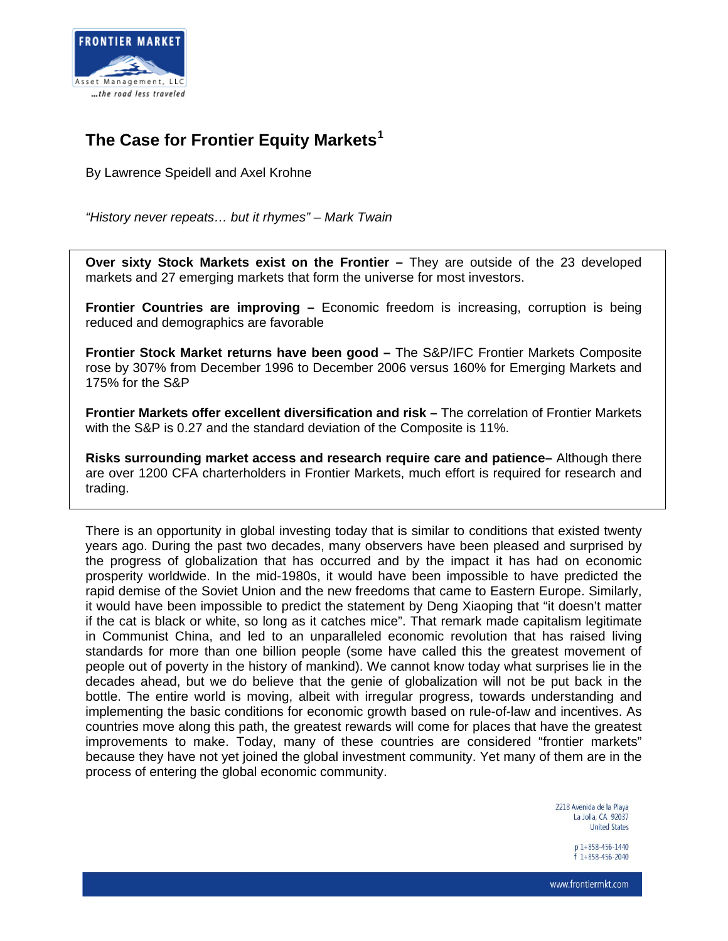

# **The Case for Frontier Equity Markets[1](#page-13-0)**

By Lawrence Speidell and Axel Krohne

*"History never repeats… but it rhymes" – Mark Twain* 

**Over sixty Stock Markets exist on the Frontier –** They are outside of the 23 developed markets and 27 emerging markets that form the universe for most investors.

**Frontier Countries are improving –** Economic freedom is increasing, corruption is being reduced and demographics are favorable

**Frontier Stock Market returns have been good –** The S&P/IFC Frontier Markets Composite rose by 307% from December 1996 to December 2006 versus 160% for Emerging Markets and 175% for the S&P

**Frontier Markets offer excellent diversification and risk –** The correlation of Frontier Markets with the S&P is 0.27 and the standard deviation of the Composite is 11%.

**Risks surrounding market access and research require care and patience–** Although there are over 1200 CFA charterholders in Frontier Markets, much effort is required for research and trading.

There is an opportunity in global investing today that is similar to conditions that existed twenty years ago. During the past two decades, many observers have been pleased and surprised by the progress of globalization that has occurred and by the impact it has had on economic prosperity worldwide. In the mid-1980s, it would have been impossible to have predicted the rapid demise of the Soviet Union and the new freedoms that came to Eastern Europe. Similarly, it would have been impossible to predict the statement by Deng Xiaoping that "it doesn't matter if the cat is black or white, so long as it catches mice". That remark made capitalism legitimate in Communist China, and led to an unparalleled economic revolution that has raised living standards for more than one billion people (some have called this the greatest movement of people out of poverty in the history of mankind). We cannot know today what surprises lie in the decades ahead, but we do believe that the genie of globalization will not be put back in the bottle. The entire world is moving, albeit with irregular progress, towards understanding and implementing the basic conditions for economic growth based on rule-of-law and incentives. As countries move along this path, the greatest rewards will come for places that have the greatest improvements to make. Today, many of these countries are considered "frontier markets" because they have not yet joined the global investment community. Yet many of them are in the process of entering the global economic community.

> 2218 Avenida de la Playa La Jolla, CA 92037 **United States**

> > p 1+858-456-1440  $f$  1+858-456-2040

www.frontiermkt.com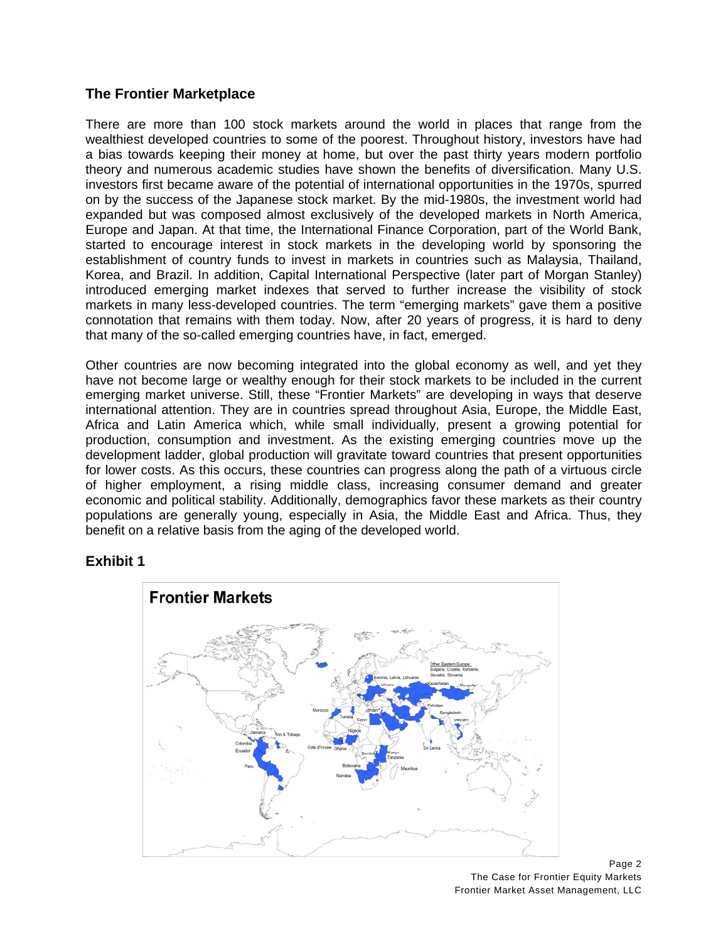# **The Frontier Marketplace**

There are more than 100 stock markets around the world in places that range from the wealthiest developed countries to some of the poorest. Throughout history, investors have had a bias towards keeping their money at home, but over the past thirty years modern portfolio theory and numerous academic studies have shown the benefits of diversification. Many U.S. investors first became aware of the potential of international opportunities in the 1970s, spurred on by the success of the Japanese stock market. By the mid-1980s, the investment world had expanded but was composed almost exclusively of the developed markets in North America, Europe and Japan. At that time, the International Finance Corporation, part of the World Bank, started to encourage interest in stock markets in the developing world by sponsoring the establishment of country funds to invest in markets in countries such as Malaysia, Thailand, Korea, and Brazil. In addition, Capital International Perspective (later part of Morgan Stanley) introduced emerging market indexes that served to further increase the visibility of stock markets in many less-developed countries. The term "emerging markets" gave them a positive connotation that remains with them today. Now, after 20 years of progress, it is hard to deny that many of the so-called emerging countries have, in fact, emerged.

Other countries are now becoming integrated into the global economy as well, and yet they have not become large or wealthy enough for their stock markets to be included in the current emerging market universe. Still, these "Frontier Markets" are developing in ways that deserve international attention. They are in countries spread throughout Asia, Europe, the Middle East, Africa and Latin America which, while small individually, present a growing potential for production, consumption and investment. As the existing emerging countries move up the development ladder, global production will gravitate toward countries that present opportunities for lower costs. As this occurs, these countries can progress along the path of a virtuous circle of higher employment, a rising middle class, increasing consumer demand and greater economic and political stability. Additionally, demographics favor these markets as their country populations are generally young, especially in Asia, the Middle East and Africa. Thus, they benefit on a relative basis from the aging of the developed world.

# **Exhibit 1**



Page 2 **Page 2** The Case for Frontier Equity Markets Frontier Market Asset Management, LLC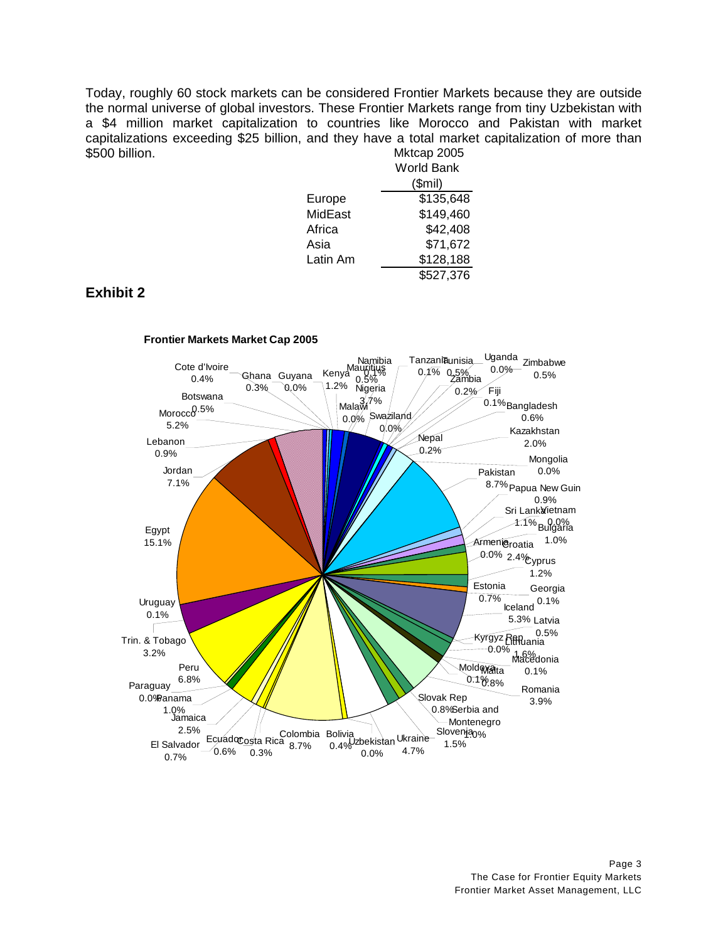Mktcap 2005 Today, roughly 60 stock markets can be considered Frontier Markets because they are outside the normal universe of global investors. These Frontier Markets range from tiny Uzbekistan with a \$4 million market capitalization to countries like Morocco and Pakistan with market capitalizations exceeding \$25 billion, and they have a total market capitalization of more than \$500 billion.

|          | <b>World Bank</b> |  |
|----------|-------------------|--|
|          | $$$ mil $)$       |  |
| Europe   | \$135,648         |  |
| MidEast  | \$149,460         |  |
| Africa   | \$42,408          |  |
| Asia     | \$71,672          |  |
| Latin Am | \$128,188         |  |
|          | \$527,376         |  |

# **Exhibit 2**



#### **Frontier Markets Market Cap 2005**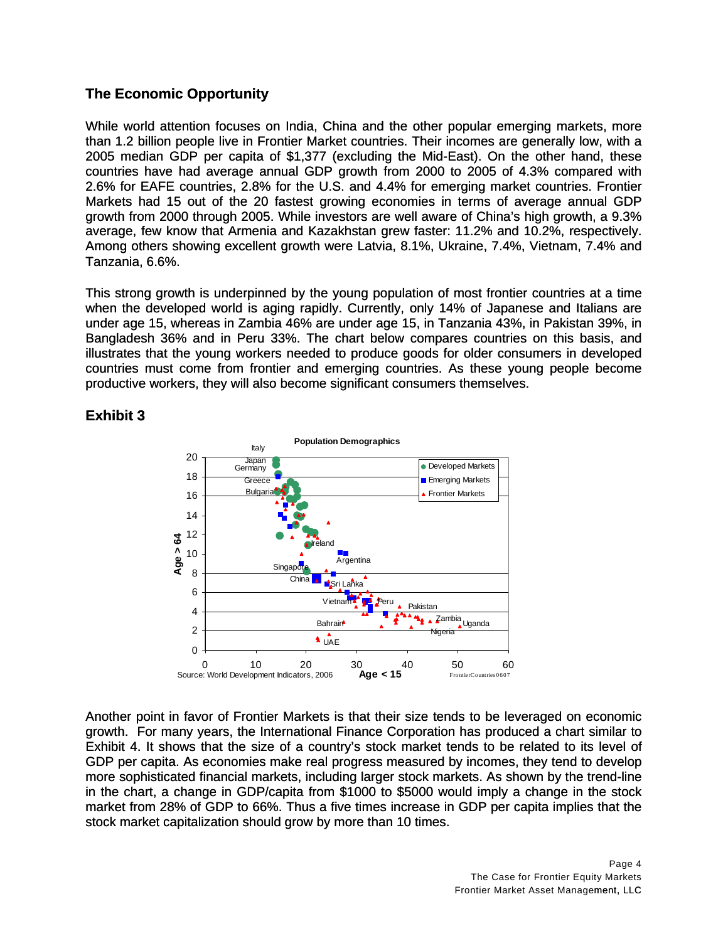# **The Economic Opportunity**

While world attention focuses on India, China and the other popular emerging markets, more than 1.2 billion people live in Frontier Market countries. Their incomes are generally low, with a 2005 median GDP per capita of \$1,377 (excluding the Mid-East). On the other hand, these countries have had average annual GDP growth from 2000 to 2005 of 4.3% compared with 2.6% for EAFE countries, 2.8% for the U.S. and 4.4% for emerging market countries. Frontier Markets had 15 out of the 20 fastest growing economies in terms of average annual GDP growth from 2000 through 2005. While investors are well aware of China's high growth, a 9.3% average, few know that Armenia and Kazakhstan grew faster: 11.2% and 10.2%, respectively. Among others showing excellent growth were Latvia, 8.1%, Ukraine, 7.4%, Vietnam, 7.4% and Tanzania, 6.6%.

This strong growth is underpinned by the young population of most frontier countries at a time when the developed world is aging rapidly. Currently, only 14% of Japanese and Italians are under age 15, whereas in Zambia 46% are under age 15, in Tanzania 43%, in Pakistan 39%, in Bangladesh 36% and in Peru 33%. The chart below compares countries on this basis, and illustrates that the young workers needed to produce goods for older consumers in developed countries must come from frontier and emerging countries. As these young people become productive workers, they will also become significant consumers themselves.



# **Exhibit 3**

Another point in favor of Frontier Markets is that their size tends to be leveraged on economic growth. For many years, the International Finance Corporation has produced a chart similar to Exhibit 4. It shows that the size of a country's stock market tends to be related to its level of GDP per capita. As economies make real progress measured by incomes, they tend to develop more sophisticated financial markets, including larger stock markets. As shown by the trend-line in the chart, a change in GDP/capita from \$1000 to \$5000 would imply a change in the stock market from 28% of GDP to 66%. Thus a five times increase in GDP per capita implies that the stock market capitalization should grow by more than 10 times.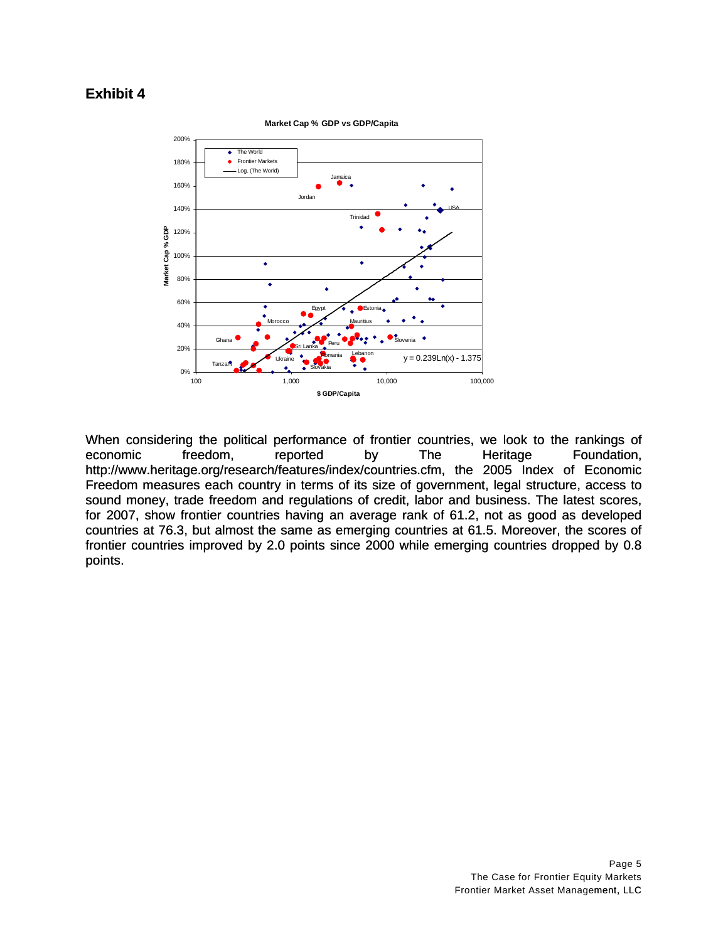

When considering the political performance of frontier countries, we look to the rankings of economic freedom, reported by The Heritage Foundation, http://www.heritage.org/research/features/index/countries.cfm, the 2005 Index of Economic Freedom measures each country in terms of its size of government, legal structure, access to sound money, trade freedom and regulations of credit, labor and business. The latest scores, for 2007, show frontier countries having an average rank of 61.2, not as good as developed countries at 76.3, but almost the same as emerging countries at 61.5. Moreover, the scores of frontier countries improved by 2.0 points since 2000 while emerging countries dropped by 0.8 points.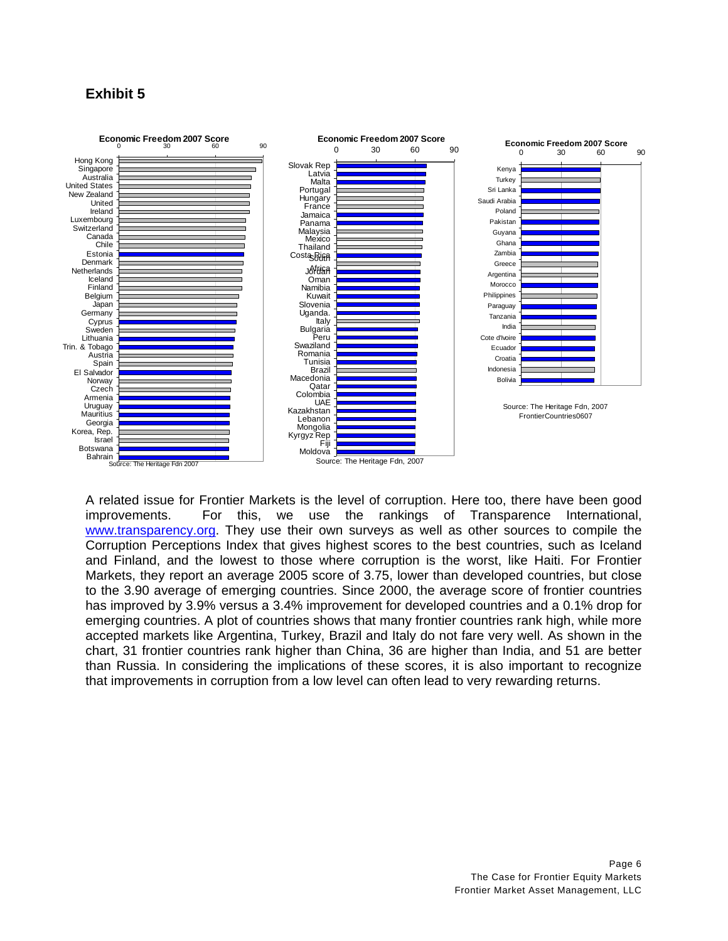

A related issue for Frontier Markets is the level of corruption. Here too, there have been good improvements. For this, we use the rankings of Transparence International, [www.transparency.org](http://www.transparency.org/). They use their own surveys as well as other sources to compile the Corruption Perceptions Index that gives highest scores to the best countries, such as Iceland and Finland, and the lowest to those where corruption is the worst, like Haiti. For Frontier Markets, they report an average 2005 score of 3.75, lower than developed countries, but close to the 3.90 average of emerging countries. Since 2000, the average score of frontier countries has improved by 3.9% versus a 3.4% improvement for developed countries and a 0.1% drop for emerging countries. A plot of countries shows that many frontier countries rank high, while more accepted markets like Argentina, Turkey, Brazil and Italy do not fare very well. As shown in the chart, 31 frontier countries rank higher than China, 36 are higher than India, and 51 are better than Russia. In considering the implications of these scores, it is also important to recognize that improvements in corruption from a low level can often lead to very rewarding returns.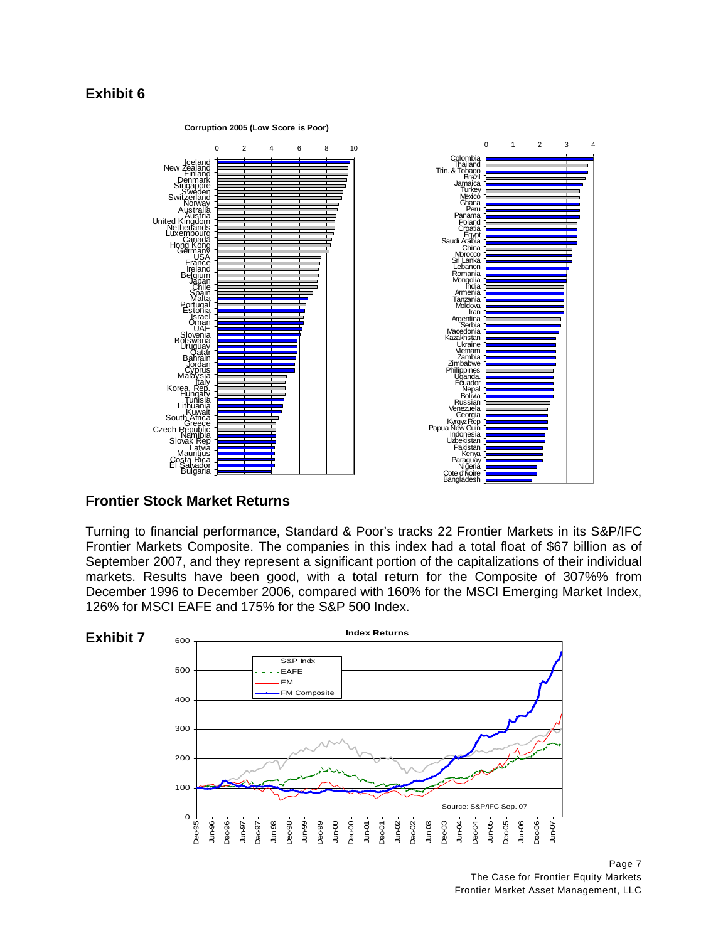

#### **Frontier Stock Market Returns**

Turning to financial performance, Standard & Poor's tracks 22 Frontier Markets in its S&P/IFC Frontier Markets Composite. The companies in this index had a total float of \$67 billion as of September 2007, and they represent a significant portion of the capitalizations of their individual markets. Results have been good, with a total return for the Composite of 307%% from December 1996 to December 2006, compared with 160% for the MSCI Emerging Market Index, 126% for MSCI EAFE and 175% for the S&P 500 Index.



Page 7 (1992) and the state of the state of the state of the state of the state of the state of the state of the state of the state of the state of the state of the state of the state of the state of the state of the state The Case for Frontier Equity Markets Frontier Market Asset Management, LLC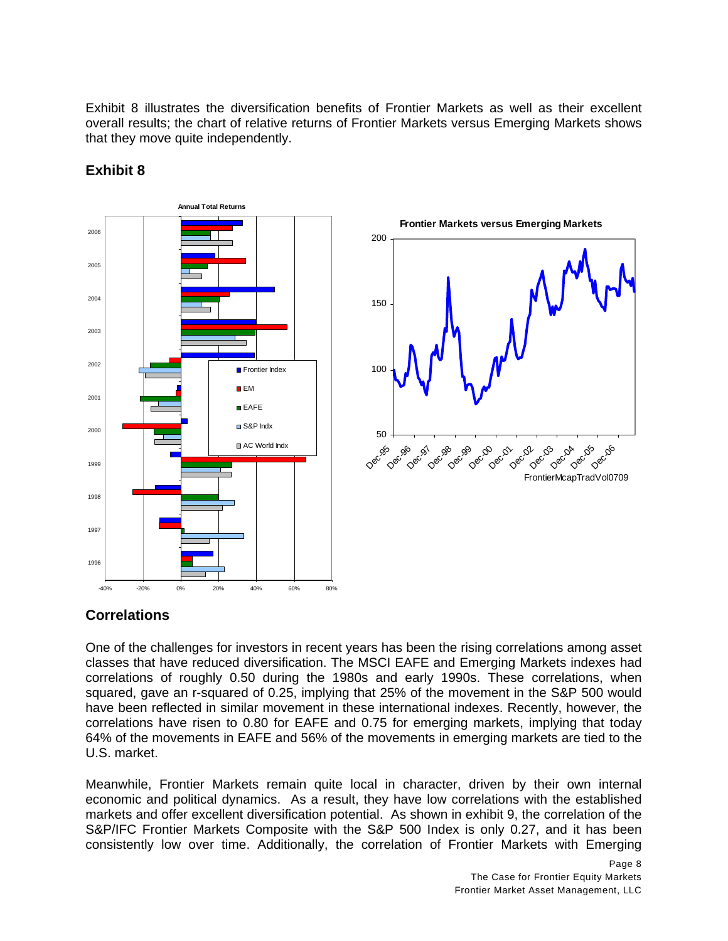Exhibit 8 illustrates the diversification benefits of Frontier Markets as well as their excellent overall results; the chart of relative returns of Frontier Markets versus Emerging Markets shows that they move quite independently.



# **Exhibit 8**

# **Correlations**

One of the challenges for investors in recent years has been the rising correlations among asset classes that have reduced diversification. The MSCI EAFE and Emerging Markets indexes had correlations of roughly 0.50 during the 1980s and early 1990s. These correlations, when squared, gave an r-squared of 0.25, implying that 25% of the movement in the S&P 500 would have been reflected in similar movement in these international indexes. Recently, however, the correlations have risen to 0.80 for EAFE and 0.75 for emerging markets, implying that today 64% of the movements in EAFE and 56% of the movements in emerging markets are tied to the U.S. market.

Meanwhile, Frontier Markets remain quite local in character, driven by their own internal economic and political dynamics. As a result, they have low correlations with the established markets and offer excellent diversification potential. As shown in exhibit 9, the correlation of the S&P/IFC Frontier Markets Composite with the S&P 500 Index is only 0.27, and it has been consistently low over time. Additionally, the correlation of Frontier Markets with Emerging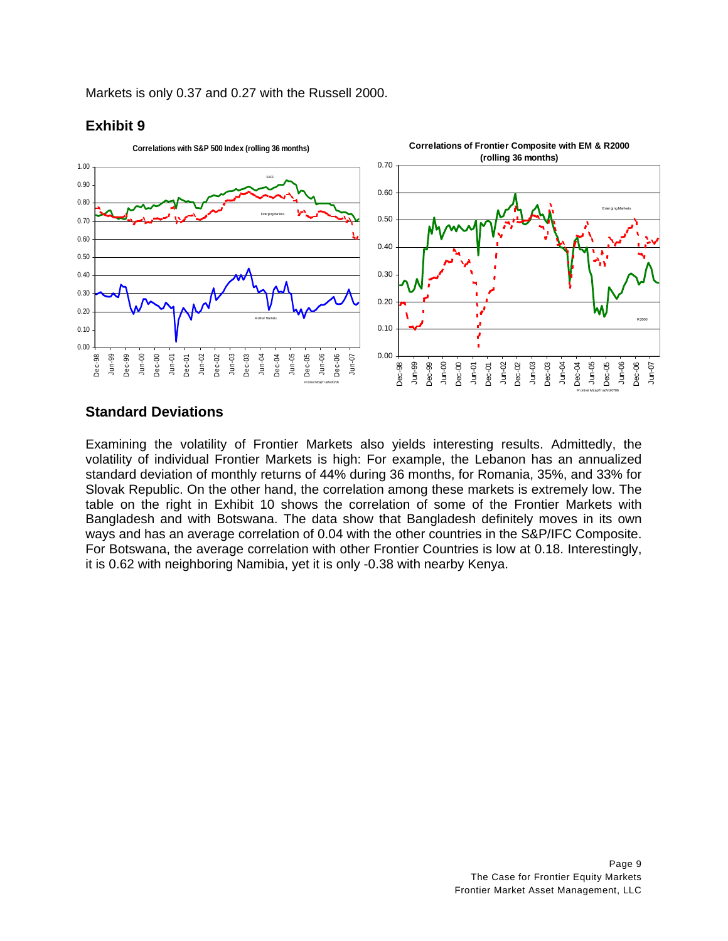Markets is only 0.37 and 0.27 with the Russell 2000.

# **Exhibit 9**



# **Standard Deviations**

Examining the volatility of Frontier Markets also yields interesting results. Admittedly, the volatility of individual Frontier Markets is high: For example, the Lebanon has an annualized standard deviation of monthly returns of 44% during 36 months, for Romania, 35%, and 33% for Slovak Republic. On the other hand, the correlation among these markets is extremely low. The table on the right in Exhibit 10 shows the correlation of some of the Frontier Markets with Bangladesh and with Botswana. The data show that Bangladesh definitely moves in its own ways and has an average correlation of 0.04 with the other countries in the S&P/IFC Composite. For Botswana, the average correlation with other Frontier Countries is low at 0.18. Interestingly, it is 0.62 with neighboring Namibia, yet it is only -0.38 with nearby Kenya.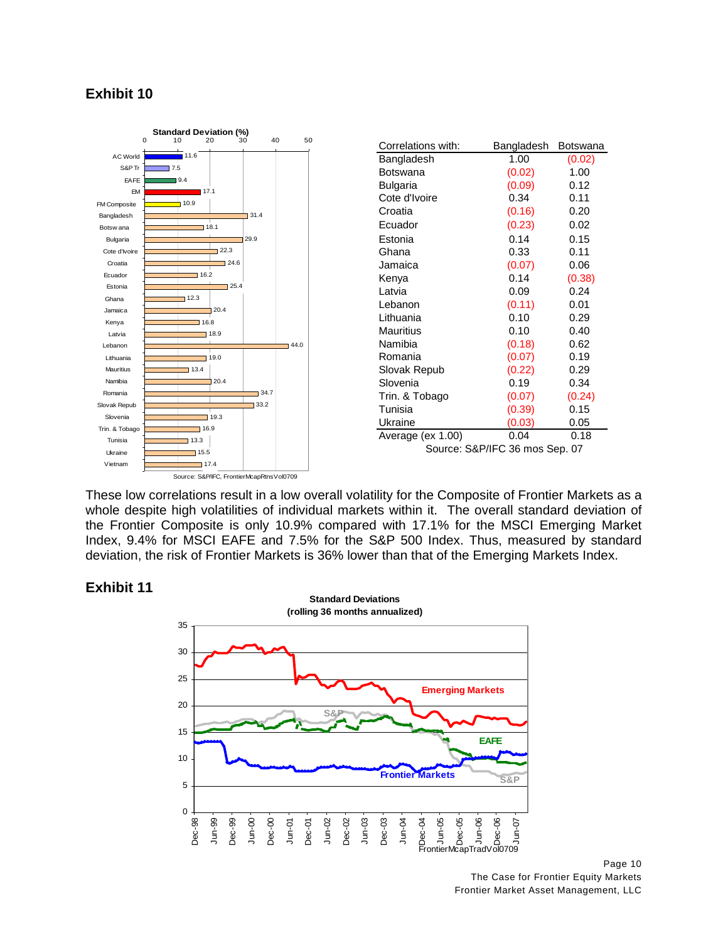

These low correlations result in a low overall volatility for the Composite of Frontier Markets as a whole despite high volatilities of individual markets within it. The overall standard deviation of the Frontier Composite is only 10.9% compared with 17.1% for the MSCI Emerging Market Index, 9.4% for MSCI EAFE and 7.5% for the S&P 500 Index. Thus, measured by standard deviation, the risk of Frontier Markets is 36% lower than that of the Emerging Markets Index.

#### **Exhibit 11**

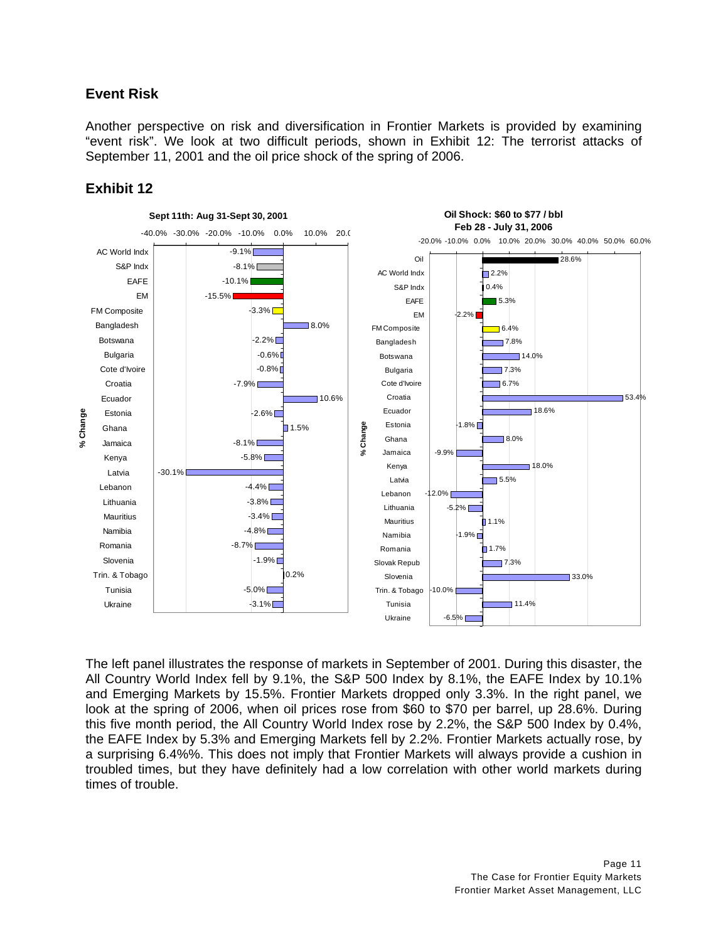# **Event Risk**

Another perspective on risk and diversification in Frontier Markets is provided by examining "event risk". We look at two difficult periods, shown in Exhibit 12: The terrorist attacks of September 11, 2001 and the oil price shock of the spring of 2006.

# **Exhibit 12**



The left panel illustrates the response of markets in September of 2001. During this disaster, the All Country World Index fell by 9.1%, the S&P 500 Index by 8.1%, the EAFE Index by 10.1% and Emerging Markets by 15.5%. Frontier Markets dropped only 3.3%. In the right panel, we look at the spring of 2006, when oil prices rose from \$60 to \$70 per barrel, up 28.6%. During this five month period, the All Country World Index rose by 2.2%, the S&P 500 Index by 0.4%, the EAFE Index by 5.3% and Emerging Markets fell by 2.2%. Frontier Markets actually rose, by a surprising 6.4%%. This does not imply that Frontier Markets will always provide a cushion in troubled times, but they have definitely had a low correlation with other world markets during times of trouble.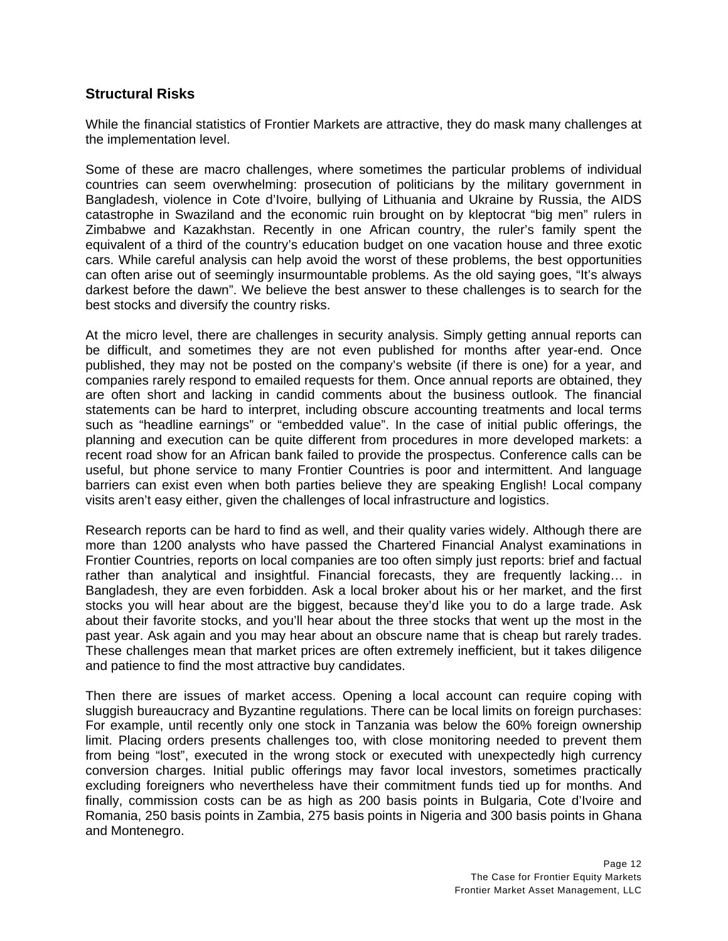# **Structural Risks**

While the financial statistics of Frontier Markets are attractive, they do mask many challenges at the implementation level.

Some of these are macro challenges, where sometimes the particular problems of individual countries can seem overwhelming: prosecution of politicians by the military government in Bangladesh, violence in Cote d'Ivoire, bullying of Lithuania and Ukraine by Russia, the AIDS catastrophe in Swaziland and the economic ruin brought on by kleptocrat "big men" rulers in Zimbabwe and Kazakhstan. Recently in one African country, the ruler's family spent the equivalent of a third of the country's education budget on one vacation house and three exotic cars. While careful analysis can help avoid the worst of these problems, the best opportunities can often arise out of seemingly insurmountable problems. As the old saying goes, "It's always darkest before the dawn". We believe the best answer to these challenges is to search for the best stocks and diversify the country risks.

At the micro level, there are challenges in security analysis. Simply getting annual reports can be difficult, and sometimes they are not even published for months after year-end. Once published, they may not be posted on the company's website (if there is one) for a year, and companies rarely respond to emailed requests for them. Once annual reports are obtained, they are often short and lacking in candid comments about the business outlook. The financial statements can be hard to interpret, including obscure accounting treatments and local terms such as "headline earnings" or "embedded value". In the case of initial public offerings, the planning and execution can be quite different from procedures in more developed markets: a recent road show for an African bank failed to provide the prospectus. Conference calls can be useful, but phone service to many Frontier Countries is poor and intermittent. And language barriers can exist even when both parties believe they are speaking English! Local company visits aren't easy either, given the challenges of local infrastructure and logistics.

Research reports can be hard to find as well, and their quality varies widely. Although there are more than 1200 analysts who have passed the Chartered Financial Analyst examinations in Frontier Countries, reports on local companies are too often simply just reports: brief and factual rather than analytical and insightful. Financial forecasts, they are frequently lacking… in Bangladesh, they are even forbidden. Ask a local broker about his or her market, and the first stocks you will hear about are the biggest, because they'd like you to do a large trade. Ask about their favorite stocks, and you'll hear about the three stocks that went up the most in the past year. Ask again and you may hear about an obscure name that is cheap but rarely trades. These challenges mean that market prices are often extremely inefficient, but it takes diligence and patience to find the most attractive buy candidates.

Then there are issues of market access. Opening a local account can require coping with sluggish bureaucracy and Byzantine regulations. There can be local limits on foreign purchases: For example, until recently only one stock in Tanzania was below the 60% foreign ownership limit. Placing orders presents challenges too, with close monitoring needed to prevent them from being "lost", executed in the wrong stock or executed with unexpectedly high currency conversion charges. Initial public offerings may favor local investors, sometimes practically excluding foreigners who nevertheless have their commitment funds tied up for months. And finally, commission costs can be as high as 200 basis points in Bulgaria, Cote d'Ivoire and Romania, 250 basis points in Zambia, 275 basis points in Nigeria and 300 basis points in Ghana and Montenegro.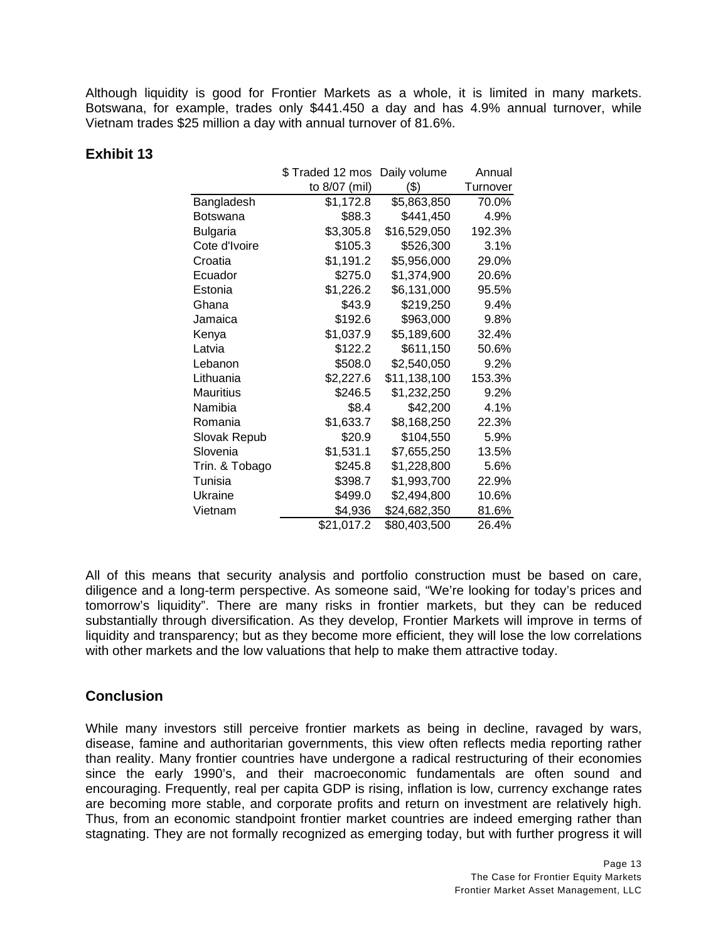Although liquidity is good for Frontier Markets as a whole, it is limited in many markets. Botswana, for example, trades only \$441.450 a day and has 4.9% annual turnover, while Vietnam trades \$25 million a day with annual turnover of 81.6%.

# **Exhibit 13**

|                  | \$Traded 12 mos | Daily volume | Annual   |
|------------------|-----------------|--------------|----------|
|                  | to 8/07 (mil)   | (\$)         | Turnover |
| Bangladesh       | \$1,172.8       | \$5,863,850  | 70.0%    |
| <b>Botswana</b>  | \$88.3          | \$441,450    | 4.9%     |
| <b>Bulgaria</b>  | \$3,305.8       | \$16,529,050 | 192.3%   |
| Cote d'Ivoire    | \$105.3         | \$526,300    | 3.1%     |
| Croatia          | \$1,191.2       | \$5,956,000  | 29.0%    |
| Ecuador          | \$275.0         | \$1,374,900  | 20.6%    |
| Estonia          | \$1,226.2       | \$6,131,000  | 95.5%    |
| Ghana            | \$43.9          | \$219,250    | 9.4%     |
| Jamaica          | \$192.6         | \$963,000    | 9.8%     |
| Kenya            | \$1,037.9       | \$5,189,600  | 32.4%    |
| Latvia           | \$122.2         | \$611,150    | 50.6%    |
| Lebanon          | \$508.0         | \$2,540,050  | 9.2%     |
| Lithuania        | \$2,227.6       | \$11,138,100 | 153.3%   |
| <b>Mauritius</b> | \$246.5         | \$1,232,250  | 9.2%     |
| Namibia          | \$8.4           | \$42,200     | 4.1%     |
| Romania          | \$1,633.7       | \$8,168,250  | 22.3%    |
| Slovak Repub     | \$20.9          | \$104,550    | 5.9%     |
| Slovenia         | \$1,531.1       | \$7,655,250  | 13.5%    |
| Trin. & Tobago   | \$245.8         | \$1,228,800  | 5.6%     |
| Tunisia          | \$398.7         | \$1,993,700  | 22.9%    |
| Ukraine          | \$499.0         | \$2,494,800  | 10.6%    |
| Vietnam          | \$4,936         | \$24,682,350 | 81.6%    |
|                  | \$21,017.2      | \$80,403,500 | 26.4%    |

All of this means that security analysis and portfolio construction must be based on care, diligence and a long-term perspective. As someone said, "We're looking for today's prices and tomorrow's liquidity". There are many risks in frontier markets, but they can be reduced substantially through diversification. As they develop, Frontier Markets will improve in terms of liquidity and transparency; but as they become more efficient, they will lose the low correlations with other markets and the low valuations that help to make them attractive today.

# **Conclusion**

While many investors still perceive frontier markets as being in decline, ravaged by wars, disease, famine and authoritarian governments, this view often reflects media reporting rather than reality. Many frontier countries have undergone a radical restructuring of their economies since the early 1990's, and their macroeconomic fundamentals are often sound and encouraging. Frequently, real per capita GDP is rising, inflation is low, currency exchange rates are becoming more stable, and corporate profits and return on investment are relatively high. Thus, from an economic standpoint frontier market countries are indeed emerging rather than stagnating. They are not formally recognized as emerging today, but with further progress it will